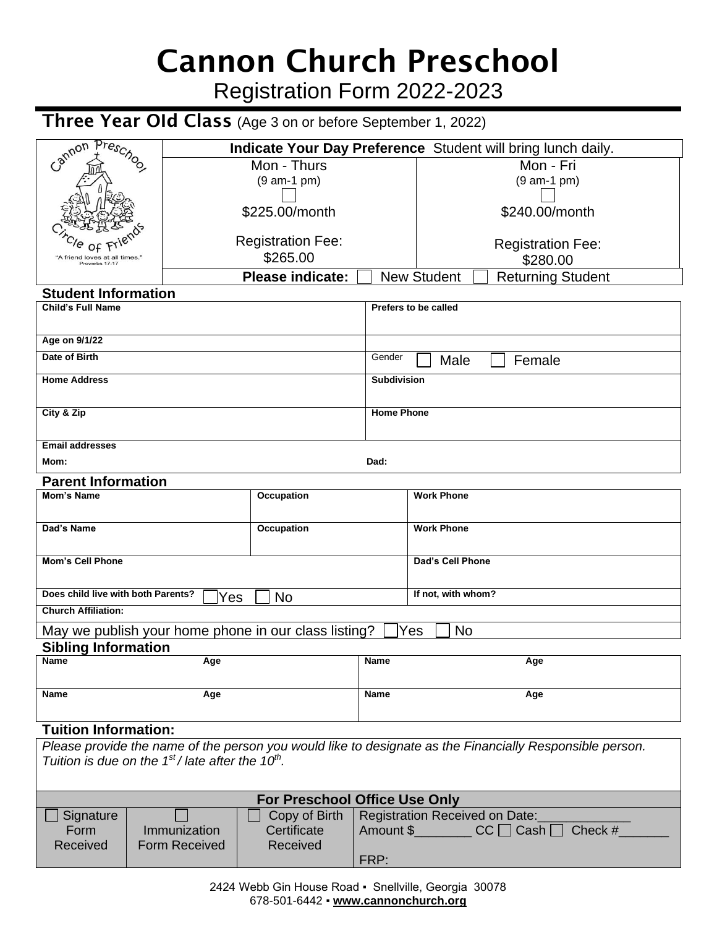# Cannon Church Preschool

Registration Form 2022-2023

## Three Year OId Class (Age 3 on or before September 1, 2022)

| Preschoo<br>Mon - Fri<br>Mon - Thurs<br>$(9 am-1 pm)$<br>$(9 am-1 pm)$<br>\$240.00/month<br>\$225.00/month<br><b>Registration Fee:</b><br><b>Registration Fee:</b><br>\$265.00<br>\$280.00<br>"A friend loves at all times.<br>Proverbs 17:17<br><b>Please indicate:</b><br><b>New Student</b><br><b>Returning Student</b><br><b>Student Information</b><br><b>Child's Full Name</b><br>Prefers to be called<br>Age on 9/1/22<br>Date of Birth<br>Gender<br>Female<br>Male<br><b>Home Address</b><br><b>Subdivision</b><br>City & Zip<br><b>Home Phone</b><br><b>Email addresses</b><br>Dad:<br>Mom:<br><b>Parent Information</b><br><b>Work Phone</b><br><b>Mom's Name</b><br><b>Occupation</b><br><b>Work Phone</b><br>Dad's Name<br>Occupation<br><b>Mom's Cell Phone</b><br>Dad's Cell Phone<br>Does child live with both Parents?<br>If not, with whom?<br><b>No</b><br>Yes<br><b>Church Affiliation:</b><br>May we publish your home phone in our class listing?<br>Yes<br><b>No</b><br><b>Sibling Information</b><br><b>Name</b><br><b>Name</b><br>Age<br>Age<br>Name<br>Age<br><b>Name</b><br>Age<br><b>Tuition Information:</b><br>Please provide the name of the person you would like to designate as the Financially Responsible person.<br>Tuition is due on the $1st$ / late after the 10 <sup>th</sup> .<br><b>For Preschool Office Use Only</b><br>Copy of Birth<br>Registration Received on Date:<br>Signature<br>Amount \$<br>Immunization<br>Certificate<br>$CC \bigcap Cash$<br>Check #<br>Form<br>Received<br><b>Form Received</b><br>Received<br>FRP: | Cannon | Indicate Your Day Preference Student will bring lunch daily. |  |  |  |  |  |  |
|-----------------------------------------------------------------------------------------------------------------------------------------------------------------------------------------------------------------------------------------------------------------------------------------------------------------------------------------------------------------------------------------------------------------------------------------------------------------------------------------------------------------------------------------------------------------------------------------------------------------------------------------------------------------------------------------------------------------------------------------------------------------------------------------------------------------------------------------------------------------------------------------------------------------------------------------------------------------------------------------------------------------------------------------------------------------------------------------------------------------------------------------------------------------------------------------------------------------------------------------------------------------------------------------------------------------------------------------------------------------------------------------------------------------------------------------------------------------------------------------------------------------------------------------------------------------------------|--------|--------------------------------------------------------------|--|--|--|--|--|--|
|                                                                                                                                                                                                                                                                                                                                                                                                                                                                                                                                                                                                                                                                                                                                                                                                                                                                                                                                                                                                                                                                                                                                                                                                                                                                                                                                                                                                                                                                                                                                                                             |        |                                                              |  |  |  |  |  |  |
|                                                                                                                                                                                                                                                                                                                                                                                                                                                                                                                                                                                                                                                                                                                                                                                                                                                                                                                                                                                                                                                                                                                                                                                                                                                                                                                                                                                                                                                                                                                                                                             |        |                                                              |  |  |  |  |  |  |
|                                                                                                                                                                                                                                                                                                                                                                                                                                                                                                                                                                                                                                                                                                                                                                                                                                                                                                                                                                                                                                                                                                                                                                                                                                                                                                                                                                                                                                                                                                                                                                             |        |                                                              |  |  |  |  |  |  |
|                                                                                                                                                                                                                                                                                                                                                                                                                                                                                                                                                                                                                                                                                                                                                                                                                                                                                                                                                                                                                                                                                                                                                                                                                                                                                                                                                                                                                                                                                                                                                                             |        |                                                              |  |  |  |  |  |  |
|                                                                                                                                                                                                                                                                                                                                                                                                                                                                                                                                                                                                                                                                                                                                                                                                                                                                                                                                                                                                                                                                                                                                                                                                                                                                                                                                                                                                                                                                                                                                                                             |        |                                                              |  |  |  |  |  |  |
|                                                                                                                                                                                                                                                                                                                                                                                                                                                                                                                                                                                                                                                                                                                                                                                                                                                                                                                                                                                                                                                                                                                                                                                                                                                                                                                                                                                                                                                                                                                                                                             |        |                                                              |  |  |  |  |  |  |
|                                                                                                                                                                                                                                                                                                                                                                                                                                                                                                                                                                                                                                                                                                                                                                                                                                                                                                                                                                                                                                                                                                                                                                                                                                                                                                                                                                                                                                                                                                                                                                             |        |                                                              |  |  |  |  |  |  |
|                                                                                                                                                                                                                                                                                                                                                                                                                                                                                                                                                                                                                                                                                                                                                                                                                                                                                                                                                                                                                                                                                                                                                                                                                                                                                                                                                                                                                                                                                                                                                                             |        |                                                              |  |  |  |  |  |  |
|                                                                                                                                                                                                                                                                                                                                                                                                                                                                                                                                                                                                                                                                                                                                                                                                                                                                                                                                                                                                                                                                                                                                                                                                                                                                                                                                                                                                                                                                                                                                                                             |        |                                                              |  |  |  |  |  |  |
|                                                                                                                                                                                                                                                                                                                                                                                                                                                                                                                                                                                                                                                                                                                                                                                                                                                                                                                                                                                                                                                                                                                                                                                                                                                                                                                                                                                                                                                                                                                                                                             |        |                                                              |  |  |  |  |  |  |
|                                                                                                                                                                                                                                                                                                                                                                                                                                                                                                                                                                                                                                                                                                                                                                                                                                                                                                                                                                                                                                                                                                                                                                                                                                                                                                                                                                                                                                                                                                                                                                             |        |                                                              |  |  |  |  |  |  |
|                                                                                                                                                                                                                                                                                                                                                                                                                                                                                                                                                                                                                                                                                                                                                                                                                                                                                                                                                                                                                                                                                                                                                                                                                                                                                                                                                                                                                                                                                                                                                                             |        |                                                              |  |  |  |  |  |  |
|                                                                                                                                                                                                                                                                                                                                                                                                                                                                                                                                                                                                                                                                                                                                                                                                                                                                                                                                                                                                                                                                                                                                                                                                                                                                                                                                                                                                                                                                                                                                                                             |        |                                                              |  |  |  |  |  |  |
|                                                                                                                                                                                                                                                                                                                                                                                                                                                                                                                                                                                                                                                                                                                                                                                                                                                                                                                                                                                                                                                                                                                                                                                                                                                                                                                                                                                                                                                                                                                                                                             |        |                                                              |  |  |  |  |  |  |
|                                                                                                                                                                                                                                                                                                                                                                                                                                                                                                                                                                                                                                                                                                                                                                                                                                                                                                                                                                                                                                                                                                                                                                                                                                                                                                                                                                                                                                                                                                                                                                             |        |                                                              |  |  |  |  |  |  |
|                                                                                                                                                                                                                                                                                                                                                                                                                                                                                                                                                                                                                                                                                                                                                                                                                                                                                                                                                                                                                                                                                                                                                                                                                                                                                                                                                                                                                                                                                                                                                                             |        |                                                              |  |  |  |  |  |  |
|                                                                                                                                                                                                                                                                                                                                                                                                                                                                                                                                                                                                                                                                                                                                                                                                                                                                                                                                                                                                                                                                                                                                                                                                                                                                                                                                                                                                                                                                                                                                                                             |        |                                                              |  |  |  |  |  |  |
|                                                                                                                                                                                                                                                                                                                                                                                                                                                                                                                                                                                                                                                                                                                                                                                                                                                                                                                                                                                                                                                                                                                                                                                                                                                                                                                                                                                                                                                                                                                                                                             |        |                                                              |  |  |  |  |  |  |
|                                                                                                                                                                                                                                                                                                                                                                                                                                                                                                                                                                                                                                                                                                                                                                                                                                                                                                                                                                                                                                                                                                                                                                                                                                                                                                                                                                                                                                                                                                                                                                             |        |                                                              |  |  |  |  |  |  |
|                                                                                                                                                                                                                                                                                                                                                                                                                                                                                                                                                                                                                                                                                                                                                                                                                                                                                                                                                                                                                                                                                                                                                                                                                                                                                                                                                                                                                                                                                                                                                                             |        |                                                              |  |  |  |  |  |  |
|                                                                                                                                                                                                                                                                                                                                                                                                                                                                                                                                                                                                                                                                                                                                                                                                                                                                                                                                                                                                                                                                                                                                                                                                                                                                                                                                                                                                                                                                                                                                                                             |        |                                                              |  |  |  |  |  |  |
|                                                                                                                                                                                                                                                                                                                                                                                                                                                                                                                                                                                                                                                                                                                                                                                                                                                                                                                                                                                                                                                                                                                                                                                                                                                                                                                                                                                                                                                                                                                                                                             |        |                                                              |  |  |  |  |  |  |
|                                                                                                                                                                                                                                                                                                                                                                                                                                                                                                                                                                                                                                                                                                                                                                                                                                                                                                                                                                                                                                                                                                                                                                                                                                                                                                                                                                                                                                                                                                                                                                             |        |                                                              |  |  |  |  |  |  |
|                                                                                                                                                                                                                                                                                                                                                                                                                                                                                                                                                                                                                                                                                                                                                                                                                                                                                                                                                                                                                                                                                                                                                                                                                                                                                                                                                                                                                                                                                                                                                                             |        |                                                              |  |  |  |  |  |  |
|                                                                                                                                                                                                                                                                                                                                                                                                                                                                                                                                                                                                                                                                                                                                                                                                                                                                                                                                                                                                                                                                                                                                                                                                                                                                                                                                                                                                                                                                                                                                                                             |        |                                                              |  |  |  |  |  |  |
|                                                                                                                                                                                                                                                                                                                                                                                                                                                                                                                                                                                                                                                                                                                                                                                                                                                                                                                                                                                                                                                                                                                                                                                                                                                                                                                                                                                                                                                                                                                                                                             |        |                                                              |  |  |  |  |  |  |
|                                                                                                                                                                                                                                                                                                                                                                                                                                                                                                                                                                                                                                                                                                                                                                                                                                                                                                                                                                                                                                                                                                                                                                                                                                                                                                                                                                                                                                                                                                                                                                             |        |                                                              |  |  |  |  |  |  |
|                                                                                                                                                                                                                                                                                                                                                                                                                                                                                                                                                                                                                                                                                                                                                                                                                                                                                                                                                                                                                                                                                                                                                                                                                                                                                                                                                                                                                                                                                                                                                                             |        |                                                              |  |  |  |  |  |  |
|                                                                                                                                                                                                                                                                                                                                                                                                                                                                                                                                                                                                                                                                                                                                                                                                                                                                                                                                                                                                                                                                                                                                                                                                                                                                                                                                                                                                                                                                                                                                                                             |        |                                                              |  |  |  |  |  |  |
|                                                                                                                                                                                                                                                                                                                                                                                                                                                                                                                                                                                                                                                                                                                                                                                                                                                                                                                                                                                                                                                                                                                                                                                                                                                                                                                                                                                                                                                                                                                                                                             |        |                                                              |  |  |  |  |  |  |
|                                                                                                                                                                                                                                                                                                                                                                                                                                                                                                                                                                                                                                                                                                                                                                                                                                                                                                                                                                                                                                                                                                                                                                                                                                                                                                                                                                                                                                                                                                                                                                             |        |                                                              |  |  |  |  |  |  |
|                                                                                                                                                                                                                                                                                                                                                                                                                                                                                                                                                                                                                                                                                                                                                                                                                                                                                                                                                                                                                                                                                                                                                                                                                                                                                                                                                                                                                                                                                                                                                                             |        |                                                              |  |  |  |  |  |  |
|                                                                                                                                                                                                                                                                                                                                                                                                                                                                                                                                                                                                                                                                                                                                                                                                                                                                                                                                                                                                                                                                                                                                                                                                                                                                                                                                                                                                                                                                                                                                                                             |        |                                                              |  |  |  |  |  |  |
|                                                                                                                                                                                                                                                                                                                                                                                                                                                                                                                                                                                                                                                                                                                                                                                                                                                                                                                                                                                                                                                                                                                                                                                                                                                                                                                                                                                                                                                                                                                                                                             |        |                                                              |  |  |  |  |  |  |